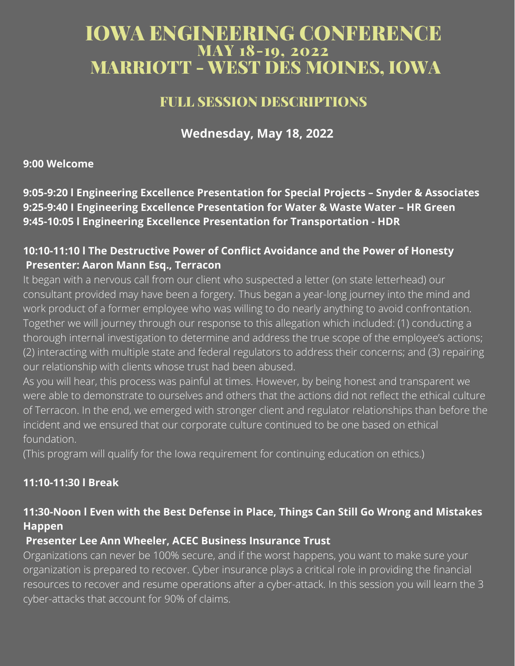# IOWA ENGINEERING CONFERENCE MAY 18-19, 2022 MARRIOTT - WEST DES MOINES, IOWA

# FULL SESSION DESCRIPTIONS

**Wednesday, May 18, 2022**

**9:00 Welcome**

**9:05-9:20 l Engineering Excellence Presentation for Special Projects – Snyder & Associates 9:25-9:40 I Engineering Excellence Presentation for Water & Waste Water – HR Green 9:45-10:05 l Engineering Excellence Presentation for Transportation - HDR**

# **10:10-11:10 l The Destructive Power of Conflict Avoidance and the Power of Honesty Presenter: Aaron Mann Esq., Terracon**

It began with a nervous call from our client who suspected a letter (on state letterhead) our consultant provided may have been a forgery. Thus began a year-long journey into the mind and work product of a former employee who was willing to do nearly anything to avoid confrontation. Together we will journey through our response to this allegation which included: (1) conducting a thorough internal investigation to determine and address the true scope of the employee's actions; (2) interacting with multiple state and federal regulators to address their concerns; and (3) repairing our relationship with clients whose trust had been abused.

As you will hear, this process was painful at times. However, by being honest and transparent we were able to demonstrate to ourselves and others that the actions did not reflect the ethical culture of Terracon. In the end, we emerged with stronger client and regulator relationships than before the incident and we ensured that our corporate culture continued to be one based on ethical foundation.

(This program will qualify for the Iowa requirement for continuing education on ethics.)

# **11:10-11:30 l Break**

# **11:30-Noon l Even with the Best Defense in Place, Things Can Still Go Wrong and Mistakes Happen**

# **Presenter Lee Ann Wheeler, ACEC Business Insurance Trust**

Organizations can never be 100% secure, and if the worst happens, you want to make sure your organization is prepared to recover. Cyber insurance plays a critical role in providing the financial resources to recover and resume operations after a cyber-attack. In this session you will learn the 3 cyber-attacks that account for 90% of claims.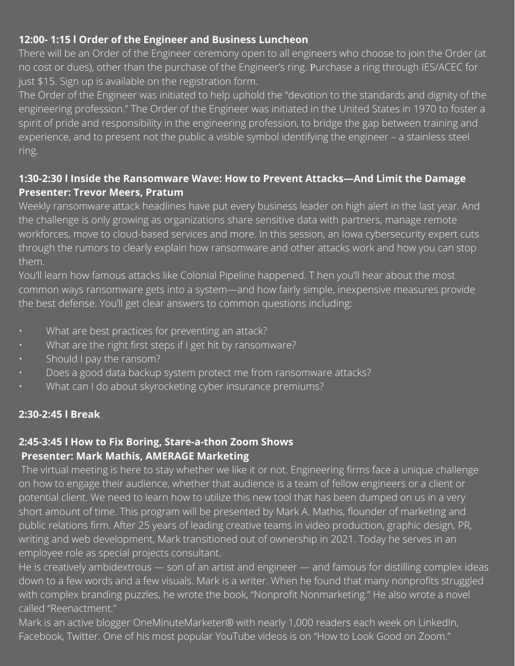# **12:00- 1:15 l Order of the Engineer and Business Luncheon**

There will be an Order of the Engineer ceremony open to all engineers who choose to join the Order (at no cost or dues), other than the purchase of the Engineer's ring. Purchase a ring through IES/ACEC for just \$15. Sign up is available on the registration form.

The Order of the Engineer was initiated to help uphold the "devotion to the standards and dignity of the engineering profession." The Order of the Engineer was initiated in the United States in 1970 to foster a spirit of pride and responsibility in the engineering profession, to bridge the gap between training and experience, and to present not the public a visible symbol identifying the engineer – a stainless steel ring.

### **1:30-2:30 l Inside the Ransomware Wave: How to Prevent Attacks—And Limit the Damage Presenter: Trevor Meers, Pratum**

Weekly ransomware attack headlines have put every business leader on high alert in the last year. And the challenge is only growing as organizations share sensitive data with partners, manage remote workforces, move to cloud-based services and more. In this session, an Iowa cybersecurity expert cuts through the rumors to clearly explain how ransomware and other attacks work and how you can stop them.

You'll learn how famous attacks like Colonial Pipeline happened. T hen you'll hear about the most common ways ransomware gets into a system—and how fairly simple, inexpensive measures provide the best defense. You'll get clear answers to common questions including:

- What are best practices for preventing an attack?
- What are the right first steps if I get hit by ransomware?
- Should I pay the ransom?
- Does a good data backup system protect me from ransomware attacks?
- What can I do about skyrocketing cyber insurance premiums?

# **2:30-2:45 l Break**

#### **2:45-3:45 l How to Fix Boring, Stare-a-thon Zoom Shows Presenter: Mark Mathis, AMERAGE Marketing**

The virtual meeting is here to stay whether we like it or not. Engineering firms face a unique challenge on how to engage their audience, whether that audience is a team of fellow engineers or a client or potential client. We need to learn how to utilize this new tool that has been dumped on us in a very short amount of time. This program will be presented by Mark A. Mathis, flounder of marketing and public relations firm. After 25 years of leading creative teams in video production, graphic design, PR, writing and web development, Mark transitioned out of ownership in 2021. Today he serves in an employee role as special projects consultant.

He is creatively ambidextrous — son of an artist and engineer — and famous for distilling complex ideas down to a few words and a few visuals. Mark is a writer. When he found that many nonprofits struggled with complex branding puzzles, he wrote the book, "Nonprofit Nonmarketing." He also wrote a novel called "Reenactment."

Mark is an active blogger OneMinuteMarketer® with nearly 1,000 readers each week on LinkedIn, Facebook, Twitter. One of his most popular YouTube videos is on "How to Look Good on Zoom."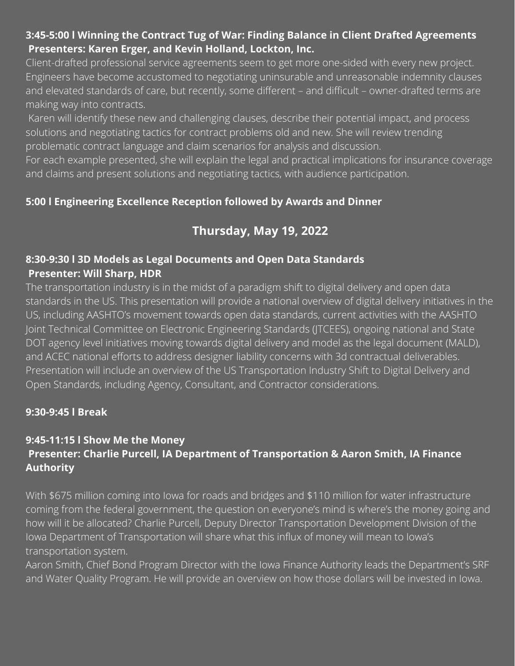## **3:45-5:00 l Winning the Contract Tug of War: Finding Balance in Client Drafted Agreements Presenters: Karen Erger, and Kevin Holland, Lockton, Inc.**

Client-drafted professional service agreements seem to get more one-sided with every new project. Engineers have become accustomed to negotiating uninsurable and unreasonable indemnity clauses and elevated standards of care, but recently, some different – and difficult – owner-drafted terms are making way into contracts.

Karen will identify these new and challenging clauses, describe their potential impact, and process solutions and negotiating tactics for contract problems old and new. She will review trending problematic contract language and claim scenarios for analysis and discussion.

For each example presented, she will explain the legal and practical implications for insurance coverage and claims and present solutions and negotiating tactics, with audience participation.

# **5:00 l Engineering Excellence Reception followed by Awards and Dinner**

# **Thursday, May 19, 2022**

# **8:30-9:30 l 3D Models as Legal Documents and Open Data Standards Presenter: Will Sharp, HDR**

The transportation industry is in the midst of a paradigm shift to digital delivery and open data standards in the US. This presentation will provide a national overview of digital delivery initiatives in the US, including AASHTO's movement towards open data standards, current activities with the AASHTO Joint Technical Committee on Electronic Engineering Standards (JTCEES), ongoing national and State DOT agency level initiatives moving towards digital delivery and model as the legal document (MALD), and ACEC national efforts to address designer liability concerns with 3d contractual deliverables. Presentation will include an overview of the US Transportation Industry Shift to Digital Delivery and Open Standards, including Agency, Consultant, and Contractor considerations.

# **9:30-9:45 l Break**

# **9:45-11:15 l Show Me the Money Presenter: Charlie Purcell, IA Department of Transportation & Aaron Smith, IA Finance Authority**

With \$675 million coming into Iowa for roads and bridges and \$110 million for water infrastructure coming from the federal government, the question on everyone's mind is where's the money going and how will it be allocated? Charlie Purcell, Deputy Director Transportation Development Division of the Iowa Department of Transportation will share what this influx of money will mean to Iowa's transportation system.

Aaron Smith, Chief Bond Program Director with the Iowa Finance Authority leads the Department's SRF and Water Quality Program. He will provide an overview on how those dollars will be invested in Iowa.